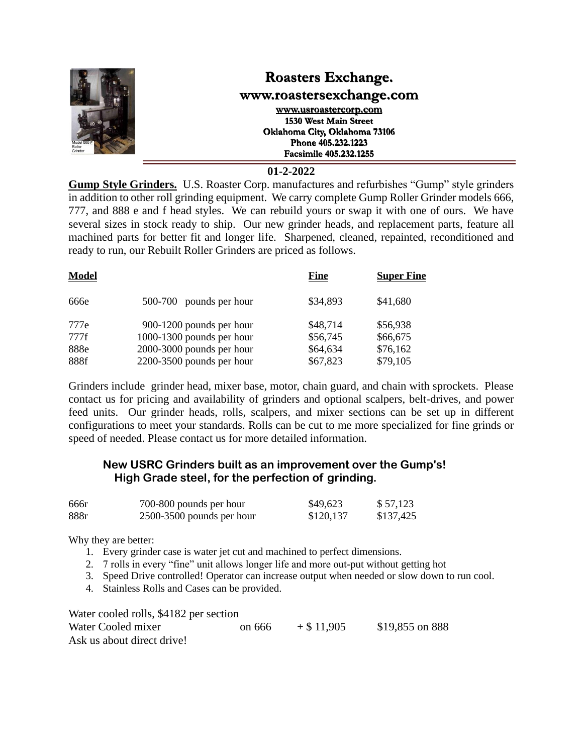

#### **01-2-2022**

**Gump Style Grinders.** U.S. Roaster Corp. manufactures and refurbishes "Gump" style grinders in addition to other roll grinding equipment. We carry complete Gump Roller Grinder models 666, 777, and 888 e and f head styles. We can rebuild yours or swap it with one of ours. We have several sizes in stock ready to ship. Our new grinder heads, and replacement parts, feature all machined parts for better fit and longer life. Sharpened, cleaned, repainted, reconditioned and ready to run, our Rebuilt Roller Grinders are priced as follows.

| <b>Model</b> |                            | <b>Fine</b> | <b>Super Fine</b> |
|--------------|----------------------------|-------------|-------------------|
| 666e         | pounds per hour<br>500-700 | \$34,893    | \$41,680          |
| 777e         | 900-1200 pounds per hour   | \$48,714    | \$56,938          |
| 777f         | 1000-1300 pounds per hour  | \$56,745    | \$66,675          |
| 888e         | 2000-3000 pounds per hour  | \$64,634    | \$76,162          |
| 888f         | 2200-3500 pounds per hour  | \$67,823    | \$79,105          |

Grinders include grinder head, mixer base, motor, chain guard, and chain with sprockets. Please contact us for pricing and availability of grinders and optional scalpers, belt-drives, and power feed units. Our grinder heads, rolls, scalpers, and mixer sections can be set up in different configurations to meet your standards. Rolls can be cut to me more specialized for fine grinds or speed of needed. Please contact us for more detailed information.

### **New USRC Grinders built as an improvement over the Gump's! High Grade steel, for the perfection of grinding.**

| 666r | 700-800 pounds per hour     | \$49,623  | \$57,123  |
|------|-----------------------------|-----------|-----------|
| 888r | $2500-3500$ pounds per hour | \$120,137 | \$137,425 |

Why they are better:

- 1. Every grinder case is water jet cut and machined to perfect dimensions.
- 2. 7 rolls in every "fine" unit allows longer life and more out-put without getting hot
- 3. Speed Drive controlled! Operator can increase output when needed or slow down to run cool.
- 4. Stainless Rolls and Cases can be provided.

Water cooled rolls, \$4182 per section

| Water Cooled mixer         | on 666 | $+$ \$ 11,905 | \$19,855 on 888 |
|----------------------------|--------|---------------|-----------------|
| Ask us about direct drive! |        |               |                 |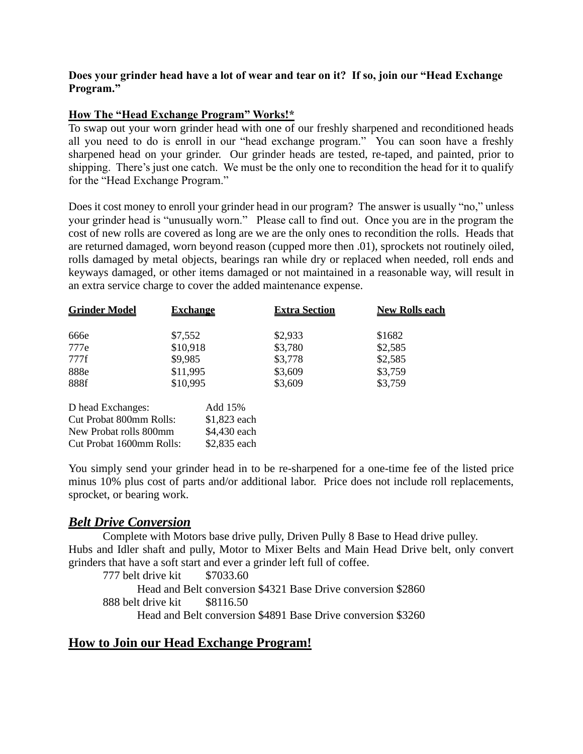### **Does your grinder head have a lot of wear and tear on it? If so, join our "Head Exchange Program."**

## **How The "Head Exchange Program" Works!\***

To swap out your worn grinder head with one of our freshly sharpened and reconditioned heads all you need to do is enroll in our "head exchange program." You can soon have a freshly sharpened head on your grinder. Our grinder heads are tested, re-taped, and painted, prior to shipping. There's just one catch. We must be the only one to recondition the head for it to qualify for the "Head Exchange Program."

Does it cost money to enroll your grinder head in our program? The answer is usually "no," unless your grinder head is "unusually worn." Please call to find out. Once you are in the program the cost of new rolls are covered as long are we are the only ones to recondition the rolls. Heads that are returned damaged, worn beyond reason (cupped more then .01), sprockets not routinely oiled, rolls damaged by metal objects, bearings ran while dry or replaced when needed, roll ends and keyways damaged, or other items damaged or not maintained in a reasonable way, will result in an extra service charge to cover the added maintenance expense.

| <b>Grinder Model</b><br><u>Exchange</u> |          |              | <b>Extra Section</b> | <b>New Rolls each</b> |
|-----------------------------------------|----------|--------------|----------------------|-----------------------|
| 666e                                    | \$7,552  |              | \$2,933              | \$1682                |
| 777e                                    | \$10,918 |              | \$3,780              | \$2,585               |
| 777f                                    | \$9,985  |              | \$3,778              | \$2,585               |
| 888e                                    | \$11,995 |              | \$3,609              | \$3,759               |
| 888f                                    | \$10,995 |              | \$3,609              | \$3,759               |
| D head Exchanges:                       |          | Add 15%      |                      |                       |
| Cut Probat 800mm Rolls:                 |          | \$1,823 each |                      |                       |
| New Probat rolls 800mm                  |          | \$4,430 each |                      |                       |
| Cut Probat 1600mm Rolls:                |          | \$2,835 each |                      |                       |

You simply send your grinder head in to be re-sharpened for a one-time fee of the listed price minus 10% plus cost of parts and/or additional labor. Price does not include roll replacements, sprocket, or bearing work.

# *Belt Drive Conversion*

 Complete with Motors base drive pully, Driven Pully 8 Base to Head drive pulley. Hubs and Idler shaft and pully, Motor to Mixer Belts and Main Head Drive belt, only convert grinders that have a soft start and ever a grinder left full of coffee.

777 belt drive kit \$7033.60 Head and Belt conversion \$4321 Base Drive conversion \$2860 888 belt drive kit \$8116.50 Head and Belt conversion \$4891 Base Drive conversion \$3260

# **How to Join our Head Exchange Program!**